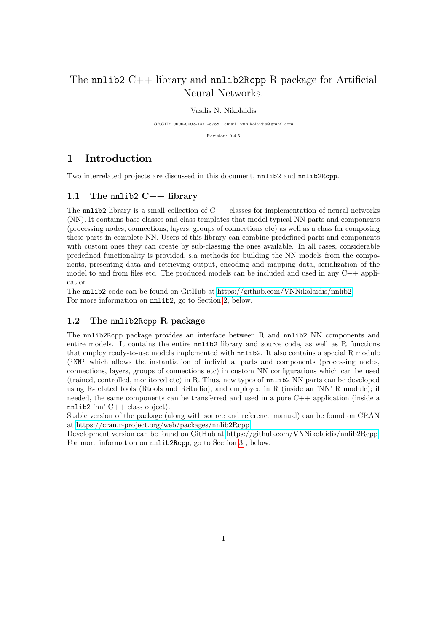# The nnlib2  $C++$  library and nnlib2Rcpp R package for Artificial Neural Networks.

### Vasilis N. Nikolaidis

ORCID: 0000-0003-1471-8788 , email: vnnikolaidis@gmail.com

Revision: 0.4.5

# 1 Introduction

Two interrelated projects are discussed in this document, nnlib2 and nnlib2Rcpp.

### 1.1 The nnlib2  $C++$  library

The nnlib2 library is a small collection of  $C++$  classes for implementation of neural networks (NN). It contains base classes and class-templates that model typical NN parts and components (processing nodes, connections, layers, groups of connections etc) as well as a class for composing these parts in complete NN. Users of this library can combine predefined parts and components with custom ones they can create by sub-classing the ones available. In all cases, considerable predefined functionality is provided, s.a methods for building the NN models from the components, presenting data and retrieving output, encoding and mapping data, serialization of the model to and from files etc. The produced models can be included and used in any C++ application.

The nnlib2 code can be found on GitHub at [https://github.com/VNNikolaidis/nnlib2.](https://github.com/VNNikolaidis/nnlib2) For more information on nnlib2, go to Section [2,](#page-1-0) below.

### 1.2 The nnlib2Rcpp R package

The nnlib2Rcpp package provides an interface between R and nnlib2 NN components and entire models. It contains the entire nnlib2 library and source code, as well as R functions that employ ready-to-use models implemented with nnlib2. It also contains a special R module ('NN' which allows the instantiation of individual parts and components (processing nodes, connections, layers, groups of connections etc) in custom NN configurations which can be used (trained, controlled, monitored etc) in R. Thus, new types of nnlib2 NN parts can be developed using R-related tools (Rtools and RStudio), and employed in R (inside an 'NN' R module); if needed, the same components can be transferred and used in a pure C++ application (inside a nnlib2 'nn' C++ class object).

Stable version of the package (along with source and reference manual) can be found on CRAN at [https://cran.r-project.org/web/packages/nnlib2Rcpp.](https://cran.r-project.org/web/packages/nnlib2Rcpp)

Development version can be found on GitHub at [https://github.com/VNNikolaidis/nnlib2Rcpp.](https://github.com/VNNikolaidis/nnlib2Rcpp) For more information on nnlib2Rcpp, go to Section [3](#page-9-0) , below.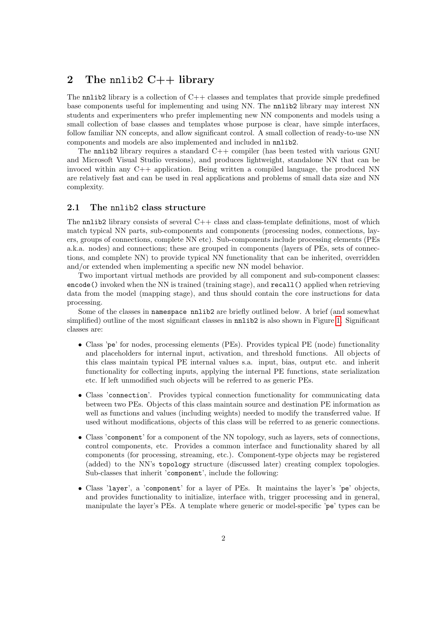# <span id="page-1-0"></span>2 The nnlib2  $C++$  library

The nnlib2 library is a collection of  $C++$  classes and templates that provide simple predefined base components useful for implementing and using NN. The nnlib2 library may interest NN students and experimenters who prefer implementing new NN components and models using a small collection of base classes and templates whose purpose is clear, have simple interfaces, follow familiar NN concepts, and allow significant control. A small collection of ready-to-use NN components and models are also implemented and included in nnlib2.

The nnlib2 library requires a standard  $C++$  compiler (has been tested with various GNU and Microsoft Visual Studio versions), and produces lightweight, standalone NN that can be invoced within any  $C++$  application. Being written a compiled language, the produced NN are relatively fast and can be used in real applications and problems of small data size and NN complexity.

### 2.1 The nnlib2 class structure

The  $nnlib2$  library consists of several  $C++$  class and class-template definitions, most of which match typical NN parts, sub-components and components (processing nodes, connections, layers, groups of connections, complete NN etc). Sub-components include processing elements (PEs a.k.a. nodes) and connections; these are grouped in components (layers of PEs, sets of connections, and complete NN) to provide typical NN functionality that can be inherited, overridden and/or extended when implementing a specific new NN model behavior.

Two important virtual methods are provided by all component and sub-component classes: encode() invoked when the NN is trained (training stage), and recall() applied when retrieving data from the model (mapping stage), and thus should contain the core instructions for data processing.

Some of the classes in namespace nnlib2 are briefly outlined below. A brief (and somewhat simplified) outline of the most significant classes in  $nnlib2$  is also shown in Figure [1.](#page-3-0) Significant classes are:

- Class 'pe' for nodes, processing elements (PEs). Provides typical PE (node) functionality and placeholders for internal input, activation, and threshold functions. All objects of this class maintain typical PE internal values s.a. input, bias, output etc. and inherit functionality for collecting inputs, applying the internal PE functions, state serialization etc. If left unmodified such objects will be referred to as generic PEs.
- Class 'connection'. Provides typical connection functionality for communicating data between two PEs. Objects of this class maintain source and destination PE information as well as functions and values (including weights) needed to modify the transferred value. If used without modifications, objects of this class will be referred to as generic connections.
- Class 'component' for a component of the NN topology, such as layers, sets of connections, control components, etc. Provides a common interface and functionality shared by all components (for processing, streaming, etc.). Component-type objects may be registered (added) to the NN's topology structure (discussed later) creating complex topologies. Sub-classes that inherit 'component', include the following:
- Class 'layer', a 'component' for a layer of PEs. It maintains the layer's 'pe' objects, and provides functionality to initialize, interface with, trigger processing and in general, manipulate the layer's PEs. A template where generic or model-specific 'pe' types can be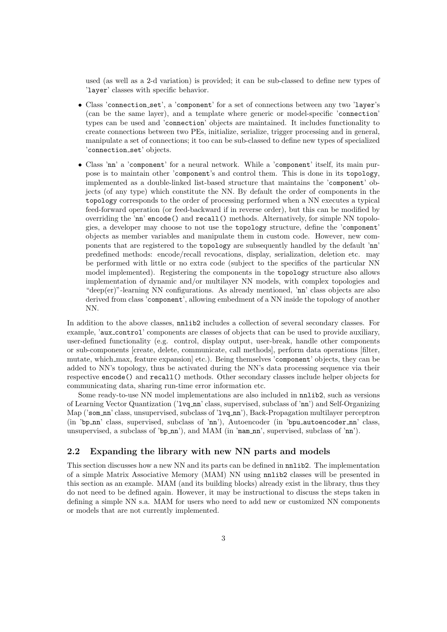used (as well as a 2-d variation) is provided; it can be sub-classed to define new types of 'layer' classes with specific behavior.

- Class 'connection set', a 'component' for a set of connections between any two 'layer's (can be the same layer), and a template where generic or model-specific 'connection' types can be used and 'connection' objects are maintained. It includes functionality to create connections between two PEs, initialize, serialize, trigger processing and in general, manipulate a set of connections; it too can be sub-classed to define new types of specialized 'connection set' objects.
- Class 'nn' a 'component' for a neural network. While a 'component' itself, its main purpose is to maintain other 'component's and control them. This is done in its topology, implemented as a double-linked list-based structure that maintains the 'component' objects (of any type) which constitute the NN. By default the order of components in the topology corresponds to the order of processing performed when a NN executes a typical feed-forward operation (or feed-backward if in reverse order), but this can be modified by overriding the 'nn' encode() and recall() methods. Alternatively, for simple NN topologies, a developer may choose to not use the topology structure, define the 'component' objects as member variables and manipulate them in custom code. However, new components that are registered to the topology are subsequently handled by the default 'nn' predefined methods: encode/recall revocations, display, serialization, deletion etc. may be performed with little or no extra code (subject to the specifics of the particular NN model implemented). Registering the components in the topology structure also allows implementation of dynamic and/or multilayer NN models, with complex topologies and "deep(er)"-learning NN configurations. As already mentioned, 'nn' class objects are also derived from class 'component', allowing embedment of a NN inside the topology of another NN.

In addition to the above classes, nnlib2 includes a collection of several secondary classes. For example, 'aux control' components are classes of objects that can be used to provide auxiliary, user-defined functionality (e.g. control, display output, user-break, handle other components or sub-components [create, delete, communicate, call methods], perform data operations [filter, mutate, which max, feature expansion] etc.). Being themselves 'component' objects, they can be added to NN's topology, thus be activated during the NN's data processing sequence via their respective encode() and recall() methods. Other secondary classes include helper objects for communicating data, sharing run-time error information etc.

Some ready-to-use NN model implementations are also included in nnlib2, such as versions of Learning Vector Quantization ('lvq nn' class, supervised, subclass of 'nn') and Self-Organizing Map ('som\_nn' class, unsupervised, subclass of 'lvq\_nn'), Back-Propagation multilayer perceptron (in 'bp\_nn' class, supervised, subclass of 'nn'), Autoencoder (in 'bpu\_autoencoder\_nn' class, unsupervised, a subclass of 'bp\_nn'), and MAM (in 'mam\_nn', supervised, subclass of 'nn').

### 2.2 Expanding the library with new NN parts and models

This section discusses how a new NN and its parts can be defined in nnlib2. The implementation of a simple Matrix Associative Memory (MAM) NN using nnlib2 classes will be presented in this section as an example. MAM (and its building blocks) already exist in the library, thus they do not need to be defined again. However, it may be instructional to discuss the steps taken in defining a simple NN s.a. MAM for users who need to add new or customized NN components or models that are not currently implemented.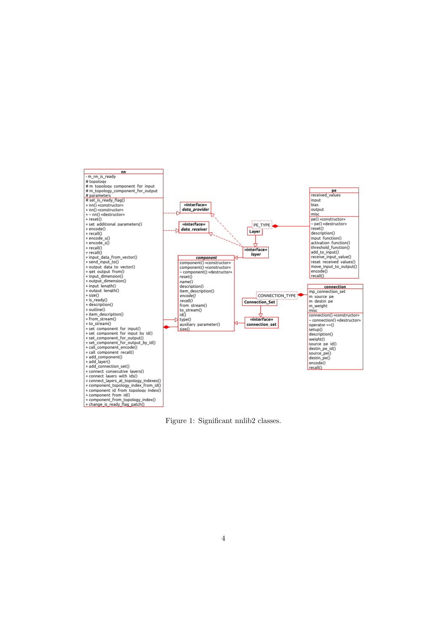

<span id="page-3-0"></span>Figure 1: Significant nnlib2 classes.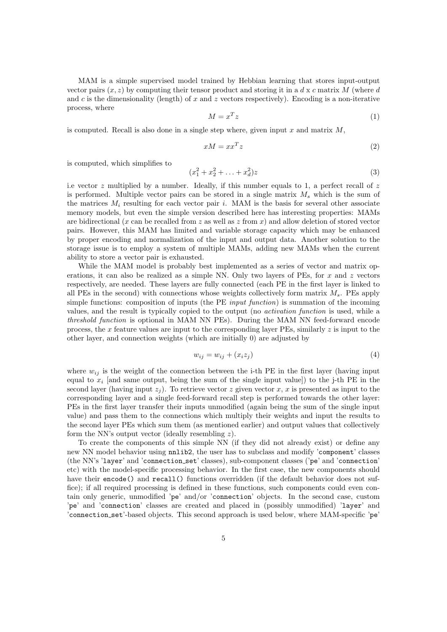MAM is a simple supervised model trained by Hebbian learning that stores input-output vector pairs  $(x, z)$  by computing their tensor product and storing it in a d x c matrix M (where d and c is the dimensionality (length) of x and z vectors respectively). Encoding is a non-iterative process, where

$$
M = x^T z \tag{1}
$$

is computed. Recall is also done in a single step where, given input  $x$  and matrix  $M$ .

$$
xM = xx^T z \tag{2}
$$

is computed, which simplifies to

$$
(x_1^2 + x_2^2 + \ldots + x_d^2)z \tag{3}
$$

i.e vector  $z$  multiplied by a number. Ideally, if this number equals to 1, a perfect recall of  $z$ is performed. Multiple vector pairs can be stored in a single matrix  $M_s$  which is the sum of the matrices  $M_i$  resulting for each vector pair i. MAM is the basis for several other associate memory models, but even the simple version described here has interesting properties: MAMs are bidirectional (x can be recalled from z as well as z from x) and allow deletion of stored vector pairs. However, this MAM has limited and variable storage capacity which may be enhanced by proper encoding and normalization of the input and output data. Another solution to the storage issue is to employ a system of multiple MAMs, adding new MAMs when the current ability to store a vector pair is exhausted.

While the MAM model is probably best implemented as a series of vector and matrix operations, it can also be realized as a simple NN. Only two layers of PEs, for  $x$  and  $z$  vectors respectively, are needed. These layers are fully connected (each PE in the first layer is linked to all PEs in the second) with connections whose weights collectively form matrix  $M_s$ . PEs apply simple functions: composition of inputs (the PE *input function*) is summation of the incoming values, and the result is typically copied to the output (no activation function is used, while a threshold function is optional in MAM NN PEs). During the MAM NN feed-forward encode process, the x feature values are input to the corresponding layer PEs, similarly  $z$  is input to the other layer, and connection weights (which are initially 0) are adjusted by

<span id="page-4-0"></span>
$$
w_{ij} = w_{ij} + (x_i z_j) \tag{4}
$$

where  $w_{ij}$  is the weight of the connection between the i-th PE in the first layer (having input equal to  $x_i$  [and same output, being the sum of the single input value]) to the j-th PE in the second layer (having input  $z_i$ ). To retrieve vector z given vector x, x is presented as input to the corresponding layer and a single feed-forward recall step is performed towards the other layer: PEs in the first layer transfer their inputs unmodified (again being the sum of the single input value) and pass them to the connections which multiply their weights and input the results to the second layer PEs which sum them (as mentioned earlier) and output values that collectively form the NN's output vector (ideally resembling  $z$ ).

To create the components of this simple NN (if they did not already exist) or define any new NN model behavior using nnlib2, the user has to subclass and modify 'component' classes (the NN's 'layer' and 'connection set' classes), sub-component classes ('pe' and 'connection' etc) with the model-specific processing behavior. In the first case, the new components should have their encode() and recall() functions overridden (if the default behavior does not suffice); if all required processing is defined in these functions, such components could even contain only generic, unmodified 'pe' and/or 'connection' objects. In the second case, custom 'pe' and 'connection' classes are created and placed in (possibly unmodified) 'layer' and 'connection set'-based objects. This second approach is used below, where MAM-specific 'pe'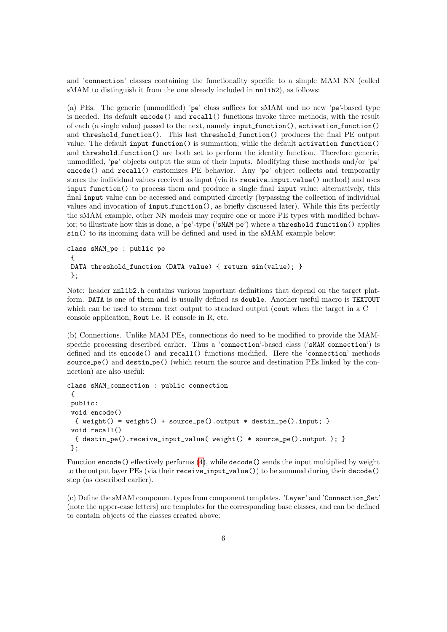and 'connection' classes containing the functionality specific to a simple MAM NN (called sMAM to distinguish it from the one already included in  $nnlib2$ ), as follows:

(a) PEs. The generic (unmodified) 'pe' class suffices for sMAM and no new 'pe'-based type is needed. Its default encode() and recall() functions invoke three methods, with the result of each (a single value) passed to the next, namely input function(), activation function() and threshold function(). This last threshold function() produces the final PE output value. The default input\_function() is summation, while the default activation\_function() and threshold function() are both set to perform the identity function. Therefore generic, unmodified, 'pe' objects output the sum of their inputs. Modifying these methods and/or 'pe' encode() and recall() customizes PE behavior. Any 'pe' object collects and temporarily stores the individual values received as input (via its receive\_input\_value() method) and uses input function() to process them and produce a single final input value; alternatively, this final input value can be accessed and computed directly (bypassing the collection of individual values and invocation of input function(), as briefly discussed later). While this fits perfectly the sMAM example, other NN models may require one or more PE types with modified behavior; to illustrate how this is done, a 'pe'-type ('sMAM\_pe') where a threshold\_function() applies sin() to its incoming data will be defined and used in the sMAM example below:

```
class sMAM_pe : public pe
{
DATA threshold_function (DATA value) { return sin(value); }
};
```
Note: header nnlib2.h contains various important definitions that depend on the target platform. DATA is one of them and is usually defined as double. Another useful macro is TEXTOUT which can be used to stream text output to standard output (cout when the target in a  $C_{++}$ console application, Rout i.e. R console in R, etc.

(b) Connections. Unlike MAM PEs, connections do need to be modified to provide the MAMspecific processing described earlier. Thus a 'connection'-based class ('sMAM connection') is defined and its encode() and recall() functions modified. Here the 'connection' methods source pe() and destin pe() (which return the source and destination PEs linked by the connection) are also useful:

```
class sMAM_connection : public connection
{
public:
void encode()
 { weight() = weight() + source_pe().output * destin_pe().input; }
void recall()
 { destin_pe().receive_input_value( weight() * source_pe().output ); }
};
```
Function encode() effectively performs [\(4\)](#page-4-0), while decode() sends the input multiplied by weight to the output layer PEs (via their receive\_input\_value()) to be summed during their decode() step (as described earlier).

(c) Define the sMAM component types from component templates. 'Layer' and 'Connection Set' (note the upper-case letters) are templates for the corresponding base classes, and can be defined to contain objects of the classes created above: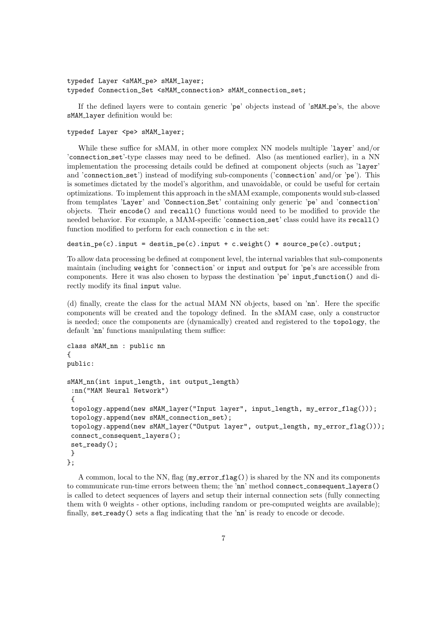typedef Layer <sMAM\_pe> sMAM\_layer; typedef Connection\_Set <sMAM\_connection> sMAM\_connection\_set;

If the defined layers were to contain generic 'pe' objects instead of 'sMAM pe's, the above sMAM\_layer definition would be:

### typedef Layer <pe> sMAM\_layer;

While these suffice for sMAM, in other more complex NN models multiple 'layer' and/or 'connection set'-type classes may need to be defined. Also (as mentioned earlier), in a NN implementation the processing details could be defined at component objects (such as 'layer' and 'connection set') instead of modifying sub-components ('connection' and/or 'pe'). This is sometimes dictated by the model's algorithm, and unavoidable, or could be useful for certain optimizations. To implement this approach in the sMAM example, components would sub-classed from templates 'Layer' and 'Connection Set' containing only generic 'pe' and 'connection' objects. Their encode() and recall() functions would need to be modified to provide the needed behavior. For example, a MAM-specific 'connection set' class could have its recall() function modified to perform for each connection c in the set:

destin\_pe(c).input = destin\_pe(c).input + c.weight() \* source\_pe(c).output;

To allow data processing be defined at component level, the internal variables that sub-components maintain (including weight for 'connection' or input and output for 'pe's are accessible from components. Here it was also chosen to bypass the destination 'pe' input function() and directly modify its final input value.

(d) finally, create the class for the actual MAM NN objects, based on 'nn'. Here the specific components will be created and the topology defined. In the sMAM case, only a constructor is needed; once the components are (dynamically) created and registered to the topology, the default 'nn' functions manipulating them suffice:

```
class sMAM_nn : public nn
{
public:
sMAM_nn(int input_length, int output_length)
 :nn("MAM Neural Network")
 {
topology.append(new sMAM_layer("Input layer", input_length, my_error_flag()));
 topology.append(new sMAM_connection_set);
 topology.append(new sMAM_layer("Output layer", output_length, my_error_flag()));
 connect_consequent_layers();
 set_ready();
}
};
```
A common, local to the NN, flag  $(my\text{-errorflag}() )$  is shared by the NN and its components to communicate run-time errors between them; the 'nn' method connect consequent layers() is called to detect sequences of layers and setup their internal connection sets (fully connecting them with 0 weights - other options, including random or pre-computed weights are available); finally,  $set\_ready()$  sets a flag indicating that the 'nn' is ready to encode or decode.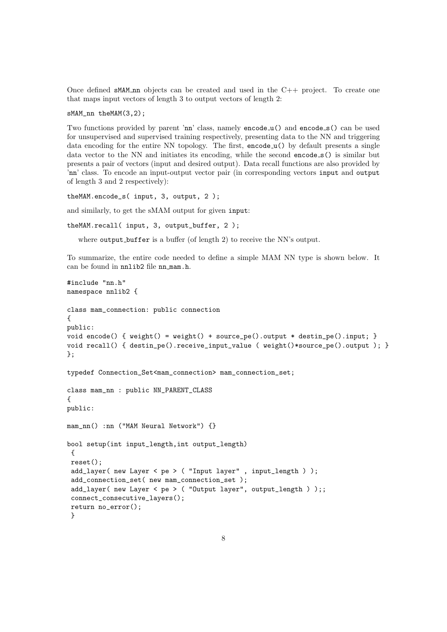Once defined sMAM nn objects can be created and used in the C++ project. To create one that maps input vectors of length 3 to output vectors of length 2:

sMAM\_nn theMAM(3,2);

Two functions provided by parent 'nn' class, namely encode\_u() and encode\_s() can be used for unsupervised and supervised training respectively, presenting data to the NN and triggering data encoding for the entire NN topology. The first, encode<sub>n(a)</sub> by default presents a single data vector to the NN and initiates its encoding, while the second encode s() is similar but presents a pair of vectors (input and desired output). Data recall functions are also provided by 'nn' class. To encode an input-output vector pair (in corresponding vectors input and output of length 3 and 2 respectively):

theMAM.encode\_s( input, 3, output, 2 );

and similarly, to get the sMAM output for given input:

```
theMAM.recall( input, 3, output_buffer, 2 );
```
where output buffer is a buffer (of length 2) to receive the NN's output.

To summarize, the entire code needed to define a simple MAM NN type is shown below. It can be found in nnlib2 file nn mam.h.

```
#include "nn.h"
namespace nnlib2 {
class mam_connection: public connection
{
public:
void encode() { weight() = weight() + source_pe(), output * destin_pe().input;}
void recall() { destin_pe().receive_input_value ( weight()*source_pe().output ); }
};
typedef Connection_Set<mam_connection> mam_connection_set;
class mam_nn : public NN_PARENT_CLASS
{
public:
mam_nn() :nn ("MAM Neural Network") {}
bool setup(int input_length,int output_length)
 {
reset();
 add_layer( new Layer < pe > ( "Input layer" , input_length ) );
 add_connection_set( new mam_connection_set );
 add_layer( new Layer < pe > ( "Output layer", output_length ) );;
 connect_consecutive_layers();
return no_error();
 }
```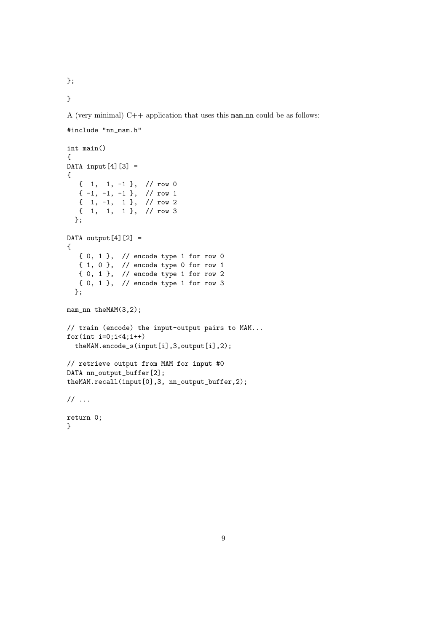};

}

A (very minimal)  $C++$  application that uses this mam nn could be as follows:

```
#include "nn_mam.h"
int main()
{
DATA input [4] [3] =
{
   { 1, 1, -1 }, // row 0
   {-1, -1, -1}, \frac{1}{\sqrt{2}}\{ 1, -1, 1 \}, \frac{1}{2} row 2
  { 1, 1, 1 }, // row 3
  };
DATA output[4][2] ={
   { 0, 1 }, // encode type 1 for row 0
   { 1, 0 }, // encode type 0 for row 1
   { 0, 1 }, // encode type 1 for row 2
  { 0, 1 }, // encode type 1 for row 3
  };
mam_nn theMAM(3,2);
// train (encode) the input-output pairs to MAM...
for(int i=0; i<4; i++)theMAM.encode_s(input[i],3,output[i],2);
// retrieve output from MAM for input #0
DATA nn_output_buffer[2];
theMAM.recall(input[0],3, nn_output_buffer,2);
// ...
return 0;
```
}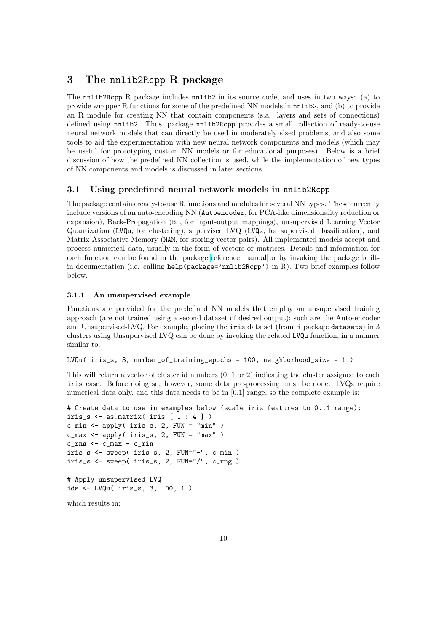# <span id="page-9-0"></span>3 The nnlib2Rcpp R package

The nnlib2Rcpp R package includes nnlib2 in its source code, and uses in two ways: (a) to provide wrapper R functions for some of the predefined NN models in nnlib2, and (b) to provide an R module for creating NN that contain components (s.a. layers and sets of connections) defined using nnlib2. Thus, package nnlib2Rcpp provides a small collection of ready-to-use neural network models that can directly be used in moderately sized problems, and also some tools to aid the experimentation with new neural network components and models (which may be useful for prototyping custom NN models or for educational purposes). Below is a brief discussion of how the predefined NN collection is used, while the implementation of new types of NN components and models is discussed in later sections.

### 3.1 Using predefined neural network models in nnlib2Rcpp

The package contains ready-to-use R functions and modules for several NN types. These currently include versions of an auto-encoding NN (Autoencoder, for PCA-like dimensionality reduction or expansion), Back-Propagation (BP, for input-output mappings), unsupervised Learning Vector Quantization (LVQu, for clustering), supervised LVQ (LVQs, for supervised classification), and Matrix Associative Memory (MAM, for storing vector pairs). All implemented models accept and process numerical data, usually in the form of vectors or matrices. Details and information for each function can be found in the package [reference manual](https://cran.r-project.org/web/packages/nnlib2Rcpp/nnlib2Rcpp.pdf) or by invoking the package builtin documentation (i.e. calling help(package='nnlib2Rcpp') in R). Two brief examples follow below.

### 3.1.1 An unsupervised example

Functions are provided for the predefined NN models that employ an unsupervised training approach (are not trained using a second dataset of desired output); such are the Auto-encoder and Unsupervised-LVQ. For example, placing the iris data set (from R package datasets) in 3 clusters using Unsupervised LVQ can be done by invoking the related LVQu function, in a manner similar to:

```
LVQu(iris_s, 3, number_of_training_epochs = 100, neighborhood_size = 1)
```
This will return a vector of cluster id numbers (0, 1 or 2) indicating the cluster assigned to each iris case. Before doing so, however, some data pre-processing must be done. LVQs require numerical data only, and this data needs to be in [0,1] range, so the complete example is:

```
# Create data to use in examples below (scale iris features to 0..1 range):
iris_s \leq as.matrix( iris [1 : 4])
c_min <- apply( iris_s, 2, FUN = "min" )
c_{\text{max}} <- apply( iris_s, 2, FUN = "max" )
c_{rng} <- c_{max} - c_{min}iris_s <- sweep( iris_s, 2, FUN="-", c_min )
iris_s <- sweep( iris_s, 2, FUN="/", c_rng )
# Apply unsupervised LVQ
ids <- LVQu( iris_s, 3, 100, 1 )
```
which results in: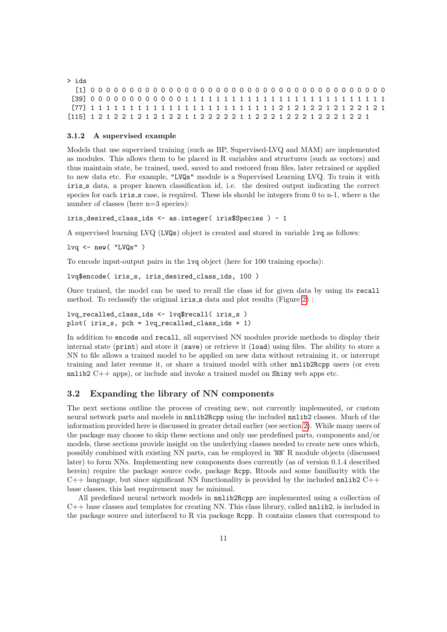| abi < |  |  |  |  |  |  |  |  |  |  |  |  |  |  |  |  |  |  |  |
|-------|--|--|--|--|--|--|--|--|--|--|--|--|--|--|--|--|--|--|--|
|       |  |  |  |  |  |  |  |  |  |  |  |  |  |  |  |  |  |  |  |
|       |  |  |  |  |  |  |  |  |  |  |  |  |  |  |  |  |  |  |  |
|       |  |  |  |  |  |  |  |  |  |  |  |  |  |  |  |  |  |  |  |
|       |  |  |  |  |  |  |  |  |  |  |  |  |  |  |  |  |  |  |  |

#### 3.1.2 A supervised example

Models that use supervised training (such as BP, Supervised-LVQ and MAM) are implemented as modules. This allows them to be placed in R variables and structures (such as vectors) and thus maintain state, be trained, used, saved to and restored from files, later retrained or applied to new data etc. For example, "LVQs" module is a Supervised Learning LVQ. To train it with iris s data, a proper known classification id, i.e. the desired output indicating the correct species for each  $i$ ris  $s$  case, is required. These ids should be integers from 0 to n-1, where n the number of classes (here  $n=3$  species):

iris\_desired\_class\_ids <- as.integer( iris\$Species ) - 1

A supervised learning LVQ (LVQs) object is created and stored in variable lvq as follows:

lvq <- new( "LVQs" )

To encode input-output pairs in the lyq object (here for 100 training epochs):

```
lvq$encode( iris_s, iris_desired_class_ids, 100 )
```
Once trained, the model can be used to recall the class id for given data by using its recall method. To reclassify the original  $iris_s$  data and plot results (Figure [2\)](#page-11-0):

```
lvq_recalled_class_ids <- lvq$recall( iris_s )
plot( iris_s, pch = lvq_recalled_class_ids + 1)
```
In addition to encode and recall, all supervised NN modules provide methods to display their internal state (print) and store it (save) or retrieve it (load) using files. The ability to store a NN to file allows a trained model to be applied on new data without retraining it, or interrupt training and later resume it, or share a trained model with other nnlib2Rcpp users (or even nnlib2 C++ apps), or include and invoke a trained model on Shiny web apps etc.

### 3.2 Expanding the library of NN components

The next sections outline the process of creating new, not currently implemented, or custom neural network parts and models in nnlib2Rcpp using the included nnlib2 classes. Much of the information provided here is discussed in greater detail earlier (see section [2\)](#page-1-0). While many users of the package may choose to skip these sections and only use predefined parts, components and/or models, these sections provide insight on the underlying classes needed to create new ones which, possibly combined with existing NN parts, can be employed in 'NN' R module objects (discussed later) to form NNs. Implementing new components does currently (as of version 0.1.4 described herein) require the package source code, package Rcpp, Rtools and some familiarity with the  $C++$  language, but since significant NN functionality is provided by the included nnlib2  $C++$ base classes, this last requirement may be minimal.

All predefined neural network models in nnlib2Rcpp are implemented using a collection of  $C++$  base classes and templates for creating NN. This class library, called nnlib2, is included in the package source and interfaced to R via package Rcpp. It contains classes that correspond to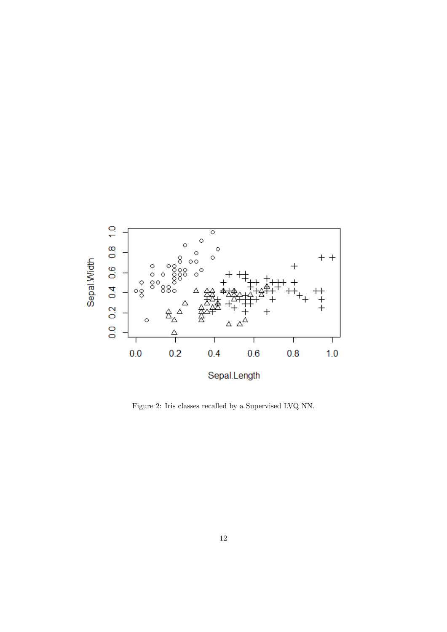

<span id="page-11-0"></span>Figure 2: Iris classes recalled by a Supervised LVQ NN.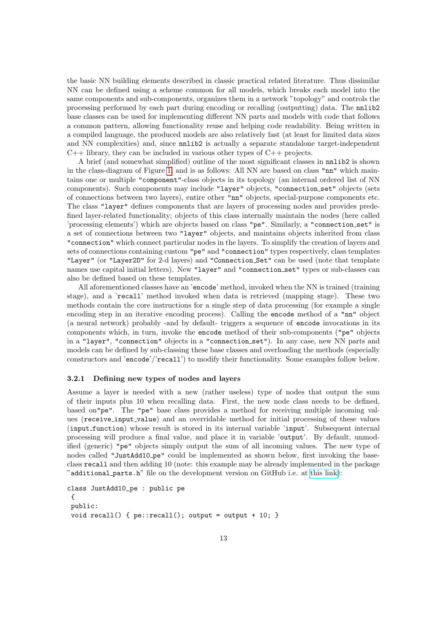the basic NN building elements described in classic practical related literature. Thus dissimilar NN can be defined using a scheme common for all models, which breaks each model into the same components and sub-components, organizes them in a network "topology" and controls the processing performed by each part during encoding or recalling (outputting) data. The nnlib2 base classes can be used for implementing different NN parts and models with code that follows a common pattern, allowing functionality reuse and helping code readability. Being written in a compiled language, the produced models are also relatively fast (at least for limited data sizes and NN complexities) and, since nnlib2 is actually a separate standalone target-independent  $C_{++}$  library, they can be included in various other types of  $C_{++}$  projects.

A brief (and somewhat simplified) outline of the most significant classes in nnlib2 is shown in the class-diagram of Figure [1,](#page-3-0) and is as follows: All NN are based on class "nn" which maintains one or multiple "component"-class objects in its topology (an internal ordered list of NN components). Such components may include "layer" objects, "connection set" objects (sets of connections between two layers), entire other "nn" objects, special-purpose components etc. The class "layer" defines components that are layers of processing nodes and provides predefined layer-related functionality; objects of this class internally maintain the nodes (here called 'processing elements') which are objects based on class "pe". Similarly, a "connection set" is a set of connections between two "layer" objects, and maintains objects inherited from class "connection" which connect particular nodes in the layers. To simplify the creation of layers and sets of connections containing custom "pe" and "connection" types respectively, class templates "Layer" (or "Layer2D" for 2-d layers) and "Connection Set" can be used (note that template names use capital initial letters). New "layer" and "connection set" types or sub-classes can also be defined based on these templates.

All aforementioned classes have an 'encode' method, invoked when the NN is trained (training stage), and a 'recall' method invoked when data is retrieved (mapping stage). These two methods contain the core instructions for a single step of data processing (for example a single encoding step in an iterative encoding process). Calling the encode method of a "nn" object (a neural network) probably -and by default- triggers a sequence of encode invocations in its components which, in turn, invoke the encode method of their sub-components ("pe" objects in a "layer", "connection" objects in a "connection set"). In any case, new NN parts and models can be defined by sub-classing these base classes and overloading the methods (especially constructors and 'encode'/'recall') to modify their functionality. Some examples follow below.

### 3.2.1 Defining new types of nodes and layers

Assume a layer is needed with a new (rather useless) type of nodes that output the sum of their inputs plus 10 when recalling data. First, the new node class needs to be defined, based on"pe". The "pe" base class provides a method for receiving multiple incoming values (receive input value) and an overridable method for initial processing of these values (input function) whose result is stored in its internal variable 'input'. Subsequent internal processing will produce a final value, and place it in variable 'output'. By default, unmodified (generic) "pe" objects simply output the sum of all incoming values. The new type of nodes called "JustAdd10 pe" could be implemented as shown below, first invoking the baseclass recall and then adding 10 (note: this example may be already implemented in the package "additional parts.h" file on the development version on GitHub i.e. at [this link\)](https://github.com/VNNikolaidis/nnlib2):

```
class JustAdd10_pe : public pe
 {
public:
void recall() { pe::recall(); output = output + 10; }
```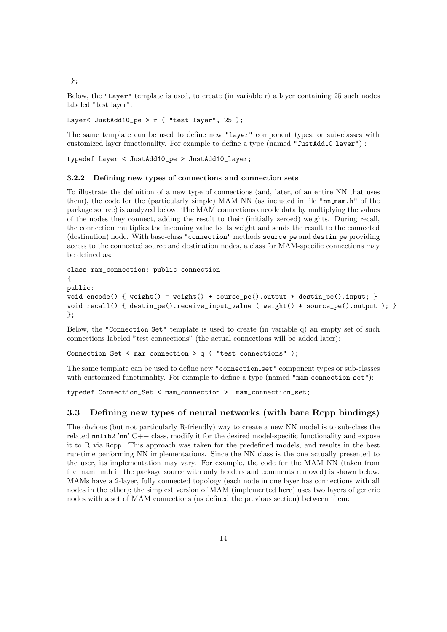};

Below, the "Layer" template is used, to create (in variable r) a layer containing 25 such nodes labeled "test layer":

Layer< JustAdd10\_pe > r ( "test layer",  $25$  );

The same template can be used to define new "layer" component types, or sub-classes with customized layer functionality. For example to define a type (named "JustAdd10\_layer") :

typedef Layer < JustAdd10\_pe > JustAdd10\_layer;

### 3.2.2 Defining new types of connections and connection sets

To illustrate the definition of a new type of connections (and, later, of an entire NN that uses them), the code for the (particularly simple) MAM NN (as included in file "nn mam.h" of the package source) is analyzed below. The MAM connections encode data by multiplying the values of the nodes they connect, adding the result to their (initially zeroed) weights. During recall, the connection multiplies the incoming value to its weight and sends the result to the connected (destination) node. With base-class "connection" methods source pe and destin pe providing access to the connected source and destination nodes, a class for MAM-specific connections may be defined as:

```
class mam_connection: public connection
{
public:
void encode() { weight() = weight() + source_pe().output * destin_pe().input;void recall() { destin_pe().receive_input_value ( weight() * source_pe().output ); }
};
```
Below, the "Connection Set" template is used to create (in variable q) an empty set of such connections labeled "test connections" (the actual connections will be added later):

Connection\_Set < mam\_connection > q ( "test connections" );

The same template can be used to define new "connection set" component types or sub-classes with customized functionality. For example to define a type (named "mam\_connection\_set"):

typedef Connection\_Set < mam\_connection > mam\_connection\_set;

### 3.3 Defining new types of neural networks (with bare Rcpp bindings)

The obvious (but not particularly R-friendly) way to create a new NN model is to sub-class the related  $nnlib2$  'nn'  $C++$  class, modify it for the desired model-specific functionality and expose it to R via Rcpp. This approach was taken for the predefined models, and results in the best run-time performing NN implementations. Since the NN class is the one actually presented to the user, its implementation may vary. For example, the code for the MAM NN (taken from file mam\_nn.h in the package source with only headers and comments removed) is shown below. MAMs have a 2-layer, fully connected topology (each node in one layer has connections with all nodes in the other); the simplest version of MAM (implemented here) uses two layers of generic nodes with a set of MAM connections (as defined the previous section) between them: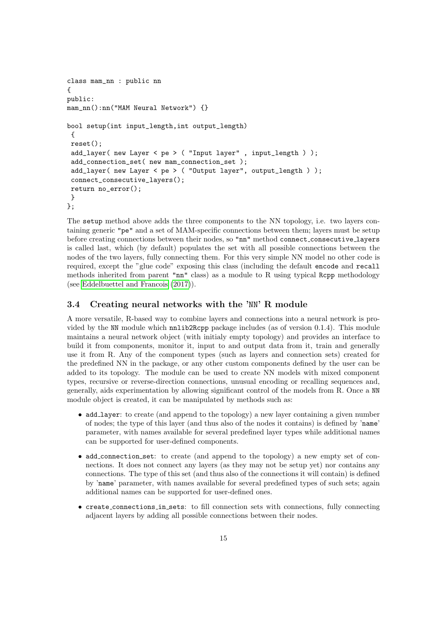```
class mam_nn : public nn
{
public:
mam_nn():nn("MAM Neural Network") {}
bool setup(int input_length,int output_length)
 {
reset();
 add_layer( new Layer < pe > ( "Input layer" , input_length ) );
 add_connection_set( new mam_connection_set );
 add_layer( new Layer < pe > ( "Output layer", output_length ) );
 connect_consecutive_layers();
return no_error();
 }
};
```
The setup method above adds the three components to the NN topology, i.e. two layers containing generic "pe" and a set of MAM-specific connections between them; layers must be setup before creating connections between their nodes, so "nn" method connect consecutive layers is called last, which (by default) populates the set with all possible connections between the nodes of the two layers, fully connecting them. For this very simple NN model no other code is required, except the "glue code" exposing this class (including the default encode and recall methods inherited from parent "nn" class) as a module to R using typical Rcpp methodology (see [Eddelbuettel and Francois](#page-24-0) [\(2017\)](#page-24-0)).

### 3.4 Creating neural networks with the 'NN' R module

A more versatile, R-based way to combine layers and connections into a neural network is provided by the NN module which **nnlib2Rcpp** package includes (as of version 0.1.4). This module maintains a neural network object (with initialy empty topology) and provides an interface to build it from components, monitor it, input to and output data from it, train and generally use it from R. Any of the component types (such as layers and connection sets) created for the predefined NN in the package, or any other custom components defined by the user can be added to its topology. The module can be used to create NN models with mixed component types, recursive or reverse-direction connections, unusual encoding or recalling sequences and, generally, aids experimentation by allowing significant control of the models from R. Once a NN module object is created, it can be manipulated by methods such as:

- add layer: to create (and append to the topology) a new layer containing a given number of nodes; the type of this layer (and thus also of the nodes it contains) is defined by 'name' parameter, with names available for several predefined layer types while additional names can be supported for user-defined components.
- add\_connection\_set: to create (and append to the topology) a new empty set of connections. It does not connect any layers (as they may not be setup yet) nor contains any connections. The type of this set (and thus also of the connections it will contain) is defined by 'name' parameter, with names available for several predefined types of such sets; again additional names can be supported for user-defined ones.
- create connections in sets: to fill connection sets with connections, fully connecting adjacent layers by adding all possible connections between their nodes.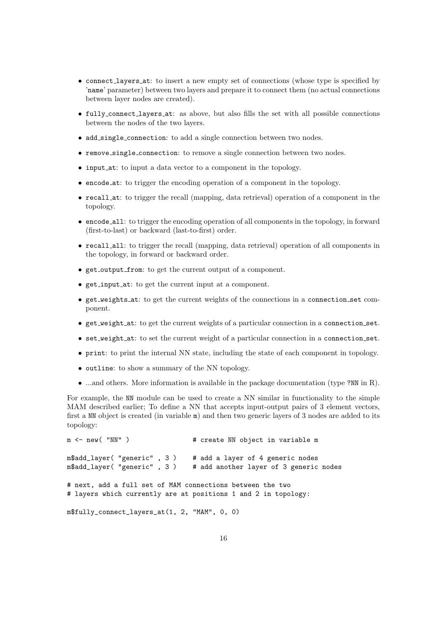- connect layers at: to insert a new empty set of connections (whose type is specified by 'name' parameter) between two layers and prepare it to connect them (no actual connections between layer nodes are created).
- fully connect layers at: as above, but also fills the set with all possible connections between the nodes of the two layers.
- add single connection: to add a single connection between two nodes.
- remove single connection: to remove a single connection between two nodes.
- input\_at: to input a data vector to a component in the topology.
- encode at: to trigger the encoding operation of a component in the topology.
- recall at: to trigger the recall (mapping, data retrieval) operation of a component in the topology.
- encode all: to trigger the encoding operation of all components in the topology, in forward (first-to-last) or backward (last-to-first) order.
- recall all: to trigger the recall (mapping, data retrieval) operation of all components in the topology, in forward or backward order.
- get\_output\_from: to get the current output of a component.
- get input at: to get the current input at a component.
- get weights at: to get the current weights of the connections in a connection set component.
- get weight at: to get the current weights of a particular connection in a connection set.
- set weight at: to set the current weight of a particular connection in a connection set.
- print: to print the internal NN state, including the state of each component in topology.
- outline: to show a summary of the NN topology.
- ...and others. More information is available in the package documentation (type ?NN in R).

For example, the NN module can be used to create a NN similar in functionality to the simple MAM described earlier; To define a NN that accepts input-output pairs of 3 element vectors, first a NN object is created (in variable m) and then two generic layers of 3 nodes are added to its topology:

```
m <- new( "NN" ) \# create NN object in variable m
m$add_layer( "generic" , 3 ) # add a layer of 4 generic nodes<br>m$add_layer( "generic" , 3 ) # add another layer of 3 generic
                                    # add another layer of 3 generic nodes
# next, add a full set of MAM connections between the two
# layers which currently are at positions 1 and 2 in topology:
m$fully_connect_layers_at(1, 2, "MAM", 0, 0)
```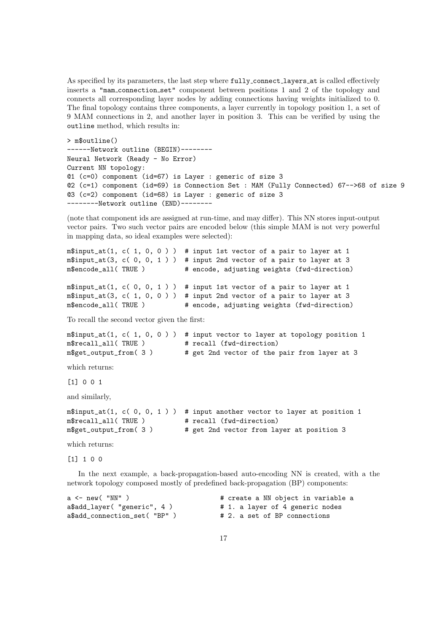As specified by its parameters, the last step where fully connect layers at is called effectively inserts a "mam connection set" component between positions 1 and 2 of the topology and connects all corresponding layer nodes by adding connections having weights initialized to 0. The final topology contains three components, a layer currently in topology position 1, a set of 9 MAM connections in 2, and another layer in position 3. This can be verified by using the outline method, which results in:

```
> m$outline()
------Network outline (BEGIN)--------
Neural Network (Ready - No Error)
Current NN topology:
@1 (c=0) component (id=67) is Layer : generic of size 3
@2 (c=1) component (id=69) is Connection Set : MAM (Fully Connected) 67-->68 of size 9
@3 (c=2) component (id=68) is Layer : generic of size 3
---------Network outline (END)--------
```
(note that component ids are assigned at run-time, and may differ). This NN stores input-output vector pairs. Two such vector pairs are encoded below (this simple MAM is not very powerful in mapping data, so ideal examples were selected):

```
m$input_at(1, c( 1, 0, 0)) # input 1st vector of a pair to laver at 1
m$input_at(3, c( 0, 0, 1 ) ) # input 2nd vector of a pair to layer at 3<br>m$encode_all( TRUE ) # encode, adjusting weights (fwd-direction)
                                  # encode, adjusting weights (fwd-direction)
m$input_at(1, c( 0, 0, 1) ) # input 1st vector of a pair to layer at 1
m$input_at(3, c( 1, 0, 0 ) ) # input 2nd vector of a pair to layer at 3
m$encode_all( TRUE ) # encode, adjusting weights (fwd-direction)
```
To recall the second vector given the first:

```
m$input_at(1, c( 1, 0, 0) ) # input vector to layer at topology position 1
m$recall_all( TRUE ) # recall (fwd-direction)
m$get_output_from( 3 ) # get 2nd vector of the pair from layer at 3
```
which returns:

[1] 0 0 1

and similarly,

```
m$input_at(1, c( 0, 0, 1 ) ) # input another vector to layer at position 1
m$recall_all( TRUE ) # recall (fwd-direction)
m$get_output_from( 3 ) # get 2nd vector from layer at position 3
```
which returns:

[1] 1 0 0

In the next example, a back-propagation-based auto-encoding NN is created, with a the network topology composed mostly of predefined back-propagation (BP) components:

a <- new( "NN" ) <br>  $\qquad \qquad$  # create a NN object in variable a<br>
a\$add\_layer( "generic", 4 ) <br>
# 1. a layer of 4 generic nodes # 1. a layer of 4 generic nodes a\$add\_connection\_set( "BP" ) # 2. a set of BP connections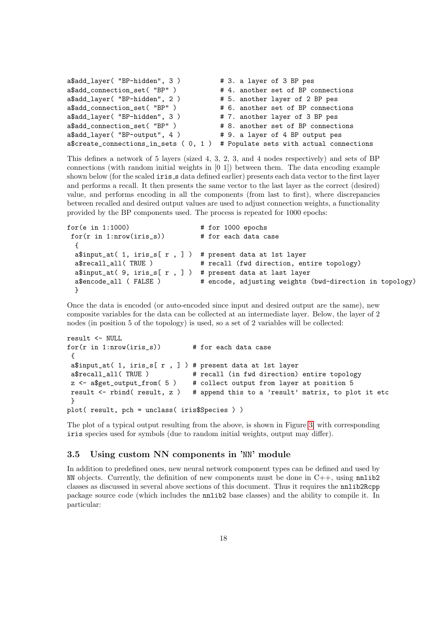```
a$add_layer( "BP-hidden", 3) # 3. a layer of 3 BP pes
a$add_connection_set( "BP" ) # 4. another set of BP connections
a$add_layer( "BP-hidden", 2 ) # 5. another layer of 2 BP pes
a$add_connection_set( "BP" ) # 6. another set of BP connections
a$add_layer( "BP-hidden", 3 ) # 7. another layer of 3 BP pes
a$add_connection_set( "BP" ) # 8. another set of BP connections
a$add_layer( "BP-output", 4) # 9. a layer of 4 BP output pes
a$create_connections_in_sets ( 0, 1 ) # Populate sets with actual connections
```
This defines a network of 5 layers (sized 4, 3, 2, 3, and 4 nodes respectively) and sets of BP connections (with random initial weights in [0 1]) between them. The data encoding example shown below (for the scaled iris s data defined earlier) presents each data vector to the first layer and performs a recall. It then presents the same vector to the last layer as the correct (desired) value, and performs encoding in all the components (from last to first), where discrepancies between recalled and desired output values are used to adjust connection weights, a functionality provided by the BP components used. The process is repeated for 1000 epochs:

```
for(e in 1:1000) # for 1000 epochsfor(r in 1:nrow(iris s)) # for each data case
 {
 a$input_at( 1, iris_s[r, ] ) # present data at 1st layer
 a$recall_all( TRUE ) # recall (fwd direction, entire topology)
 a$input_at( 9, iris_s[ r , ] ) # present data at last layer
 a$encode_all ( FALSE ) # encode, adjusting weights (bwd-direction in topology)
 }
```
Once the data is encoded (or auto-encoded since input and desired output are the same), new composite variables for the data can be collected at an intermediate layer. Below, the layer of 2 nodes (in position 5 of the topology) is used, so a set of 2 variables will be collected:

```
result <- NULL
for(r in 1: nrow(iris_s)) # for each data case
 {
a$input_at( 1, iris_s[ r , ] ) # present data at 1st layer
a$recall_all( TRUE ) # recall (in fwd direction) entire topology
z <- a$get_output_from( 5 ) # collect output from layer at position 5
result \le- rbind( result, z ) # append this to a 'result' matrix, to plot it etc
}
plot( result, pch = unclass( iris$Species ) )
```
The plot of a typical output resulting from the above, is shown in Figure [3,](#page-18-0) with corresponding iris species used for symbols (due to random initial weights, output may differ).

### 3.5 Using custom NN components in 'NN' module

In addition to predefined ones, new neural network component types can be defined and used by NN objects. Currently, the definition of new components must be done in  $C++$ , using nnlib2 classes as discussed in several above sections of this document. Thus it requires the nnlib2Rcpp package source code (which includes the nnlib2 base classes) and the ability to compile it. In particular: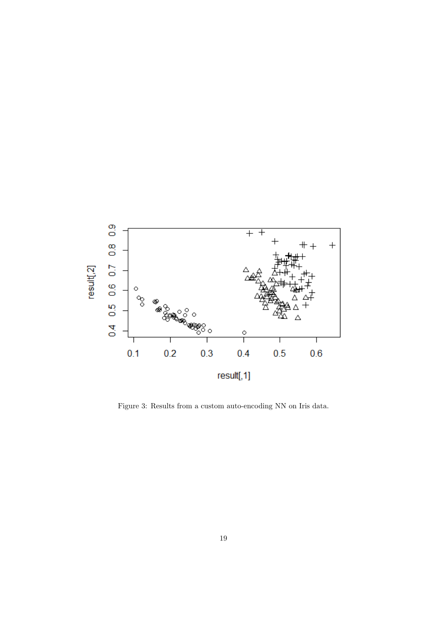

<span id="page-18-0"></span>Figure 3: Results from a custom auto-encoding NN on Iris data.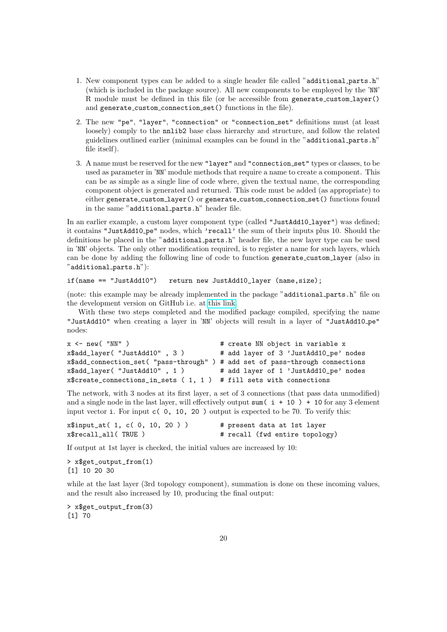- 1. New component types can be added to a single header file called "additional parts.h" (which is included in the package source). All new components to be employed by the 'NN' R module must be defined in this file (or be accessible from generate custom layer() and generate\_custom\_connection\_set() functions in the file).
- 2. The new "pe", "layer", "connection" or "connection set" definitions must (at least loosely) comply to the nnlib2 base class hierarchy and structure, and follow the related guidelines outlined earlier (minimal examples can be found in the "additional parts.h" file itself).
- 3. A name must be reserved for the new "layer" and "connection set" types or classes, to be used as parameter in 'NN' module methods that require a name to create a component. This can be as simple as a single line of code where, given the textual name, the corresponding component object is generated and returned. This code must be added (as appropriate) to either generate custom layer() or generate custom connection set() functions found in the same "additional parts.h" header file.

In an earlier example, a custom layer component type (called "JustAdd10\_layer") was defined; it contains "JustAdd10 pe" nodes, which 'recall' the sum of their inputs plus 10. Should the definitions be placed in the "additional parts.h" header file, the new layer type can be used in 'NN' objects. The only other modification required, is to register a name for such layers, which can be done by adding the following line of code to function generate custom layer (also in "additional parts.h"):

### if(name == "JustAdd10") return new JustAdd10\_layer (name,size);

(note: this example may be already implemented in the package "additional parts.h" file on the development version on GitHub i.e. at [this link.](https://github.com/VNNikolaidis/nnlib2)

With these two steps completed and the modified package compiled, specifying the name "JustAdd10" when creating a layer in 'NN' objects will result in a layer of "JustAdd10 pe" nodes:

```
x <- new( "NN" ) \qquad # create NN object in variable x
x$add_layer( "JustAdd10" , 3 ) # add layer of 3 'JustAdd10_pe' nodes
x$add_connection_set( "pass-through" ) # add set of pass-through connections
x$add_layer( "JustAdd10" , 1 ) # add layer of 1 'JustAdd10_pe' nodes
x$create_connections_in_sets ( 1, 1 ) # fill sets with connections
```
The network, with 3 nodes at its first layer, a set of 3 connections (that pass data unmodified) and a single node in the last layer, will effectively output sum  $(i + 10) + 10$  for any 3 element input vector i. For input  $c( 0, 10, 20)$  output is expected to be 70. To verify this:

| $x$input_at(1, c(0, 10, 20))$ | # present data at 1st layer    |
|-------------------------------|--------------------------------|
| x\$recall_all(TRUE)           | # recall (fwd entire topology) |

If output at 1st layer is checked, the initial values are increased by 10:

> x\$get output from(1) [1] 10 20 30

while at the last layer (3rd topology component), summation is done on these incoming values, and the result also increased by 10, producing the final output:

> x\$get\_output\_from(3) [1] 70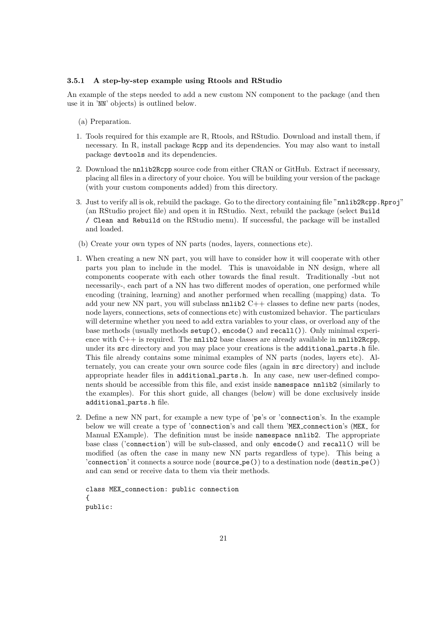#### 3.5.1 A step-by-step example using Rtools and RStudio

An example of the steps needed to add a new custom NN component to the package (and then use it in 'NN' objects) is outlined below.

- (a) Preparation.
- 1. Tools required for this example are R, Rtools, and RStudio. Download and install them, if necessary. In R, install package Rcpp and its dependencies. You may also want to install package devtools and its dependencies.
- 2. Download the nnlib2Rcpp source code from either CRAN or GitHub. Extract if necessary, placing all files in a directory of your choice. You will be building your version of the package (with your custom components added) from this directory.
- 3. Just to verify all is ok, rebuild the package. Go to the directory containing file "nnlib2Rcpp.Rproj" (an RStudio project file) and open it in RStudio. Next, rebuild the package (select Build / Clean and Rebuild on the RStudio menu). If successful, the package will be installed and loaded.
- (b) Create your own types of NN parts (nodes, layers, connections etc).
- 1. When creating a new NN part, you will have to consider how it will cooperate with other parts you plan to include in the model. This is unavoidable in NN design, where all components cooperate with each other towards the final result. Traditionally -but not necessarily-, each part of a NN has two different modes of operation, one performed while encoding (training, learning) and another performed when recalling (mapping) data. To add your new NN part, you will subclass  $nnlib2 C++$  classes to define new parts (nodes, node layers, connections, sets of connections etc) with customized behavior. The particulars will determine whether you need to add extra variables to your class, or overload any of the base methods (usually methods setup(), encode() and recall()). Only minimal experience with  $C++$  is required. The nnlib2 base classes are already available in nnlib2Rcpp, under its src directory and you may place your creations is the additional parts.h file. This file already contains some minimal examples of NN parts (nodes, layers etc). Alternately, you can create your own source code files (again in src directory) and include appropriate header files in additional parts.h. In any case, new user-defined components should be accessible from this file, and exist inside namespace nnlib2 (similarly to the examples). For this short guide, all changes (below) will be done exclusively inside additional parts.h file.
- 2. Define a new NN part, for example a new type of 'pe's or 'connection's. In the example below we will create a type of 'connection's and call them 'MEX connection's (MEX for Manual EXample). The definition must be inside namespace nnlib2. The appropriate base class ('connection') will be sub-classed, and only encode() and recall() will be modified (as often the case in many new NN parts regardless of type). This being a 'connection' it connects a source node  $(\texttt{source\_pe}()$  to a destination node  $(\texttt{destin\_pe}()$ and can send or receive data to them via their methods.

```
class MEX_connection: public connection
{
public:
```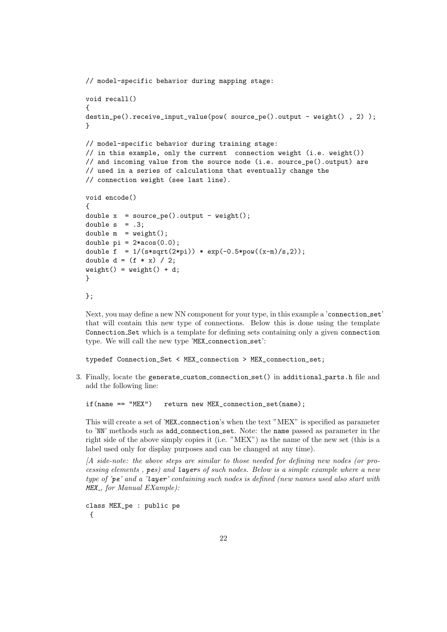```
// model-specific behavior during mapping stage:
void recall()
{
destin_pe().receive_input_value(pow( source_pe().output - weight() , 2) );
}
// model-specific behavior during training stage:
// in this example, only the current connection weight (i.e. weight())
// and incoming value from the source node (i.e. source_pe().output) are
// used in a series of calculations that eventually change the
// connection weight (see last line).
void encode()
{
double x = source_pe().output - weight();
double s = .3;
double m = weight();
double pi = 2*acos(0.0);double f = 1/(s*sqrt(2*pi)) * exp(-0.5*pow((x-m)/s,2));double d = (f * x) / 2;weight() = weight() + d;}
```

```
};
```
Next, you may define a new NN component for your type, in this example a 'connection\_set' that will contain this new type of connections. Below this is done using the template Connection Set which is a template for defining sets containing only a given connection type. We will call the new type 'MEX connection set':

typedef Connection\_Set < MEX\_connection > MEX\_connection\_set;

3. Finally, locate the generate custom connection set() in additional parts.h file and add the following line:

if(name == "MEX") return new MEX\_connection\_set(name);

This will create a set of 'MEX connection's when the text "MEX" is specified as parameter to 'NN' methods such as add connection set. Note: the name passed as parameter in the right side of the above simply copies it (i.e. "MEX") as the name of the new set (this is a label used only for display purposes and can be changed at any time).

[A side-note: the above steps are similar to those needed for defining new nodes (or processing elements , pes) and layers of such nodes. Below is a simple example where a new type of 'pe' and a 'layer' containing such nodes is defined (new names used also start with MEX<sub>-</sub>, for Manual EXample):

class MEX\_pe : public pe {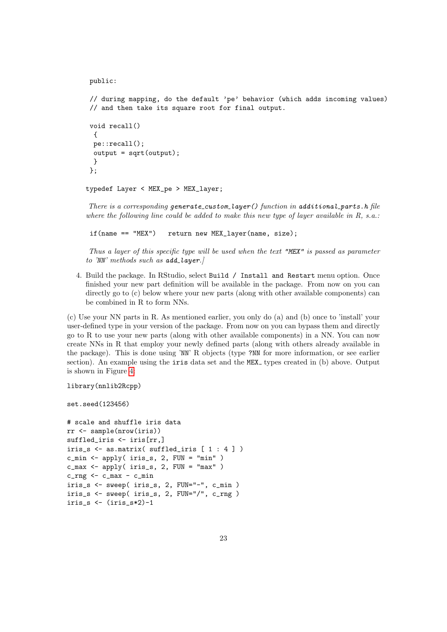public:

```
// during mapping, do the default 'pe' behavior (which adds incoming values)
// and then take its square root for final output.
```

```
void recall()
 {
pe::recall();
output = sqrt(output);
 }
};
```
typedef Layer < MEX\_pe > MEX\_layer;

There is a corresponding generate\_custom\_layer() function in additional\_parts.h file where the following line could be added to make this new type of layer available in  $R$ , s.a.:

if(name == "MEX") return new MEX\_layer(name, size);

Thus a layer of this specific type will be used when the text "MEX" is passed as parameter to 'NN' methods such as  $add\_layer$ .

4. Build the package. In RStudio, select Build / Install and Restart menu option. Once finished your new part definition will be available in the package. From now on you can directly go to (c) below where your new parts (along with other available components) can be combined in R to form NNs.

(c) Use your NN parts in R. As mentioned earlier, you only do (a) and (b) once to 'install' your user-defined type in your version of the package. From now on you can bypass them and directly go to R to use your new parts (along with other available components) in a NN. You can now create NNs in R that employ your newly defined parts (along with others already available in the package). This is done using 'NN' R objects (type ?NN for more information, or see earlier section). An example using the  $i$ ris data set and the MEX<sub>-</sub> types created in (b) above. Output is shown in Figure [4:](#page-23-0)

```
library(nnlib2Rcpp)
```
set.seed(123456)

```
# scale and shuffle iris data
rr <- sample(nrow(iris))
suffled_iris <- iris[rr,]
iris_s \leq as.matrix( suffled_iris [1 : 4])
c_{\text{min}} <- apply( iris_s, 2, FUN = "min" )
c_{\text{max}} <- apply( iris_s, 2, FUN = "max" )
c_{rrq} <- c_{max} - c_{min}iris_s <- sweep( iris_s, 2, FUN="-", c_min )
iris_s <- sweep( iris_s, 2, FUN="/", c_rng )
iris_s <- (iris_s*2)-1
```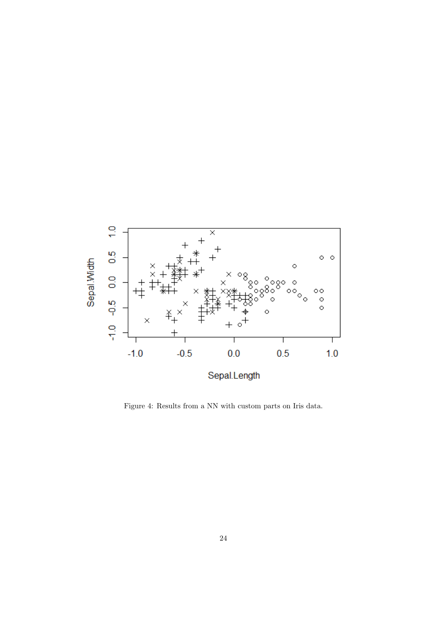

<span id="page-23-0"></span>Figure 4: Results from a NN with custom parts on Iris data.